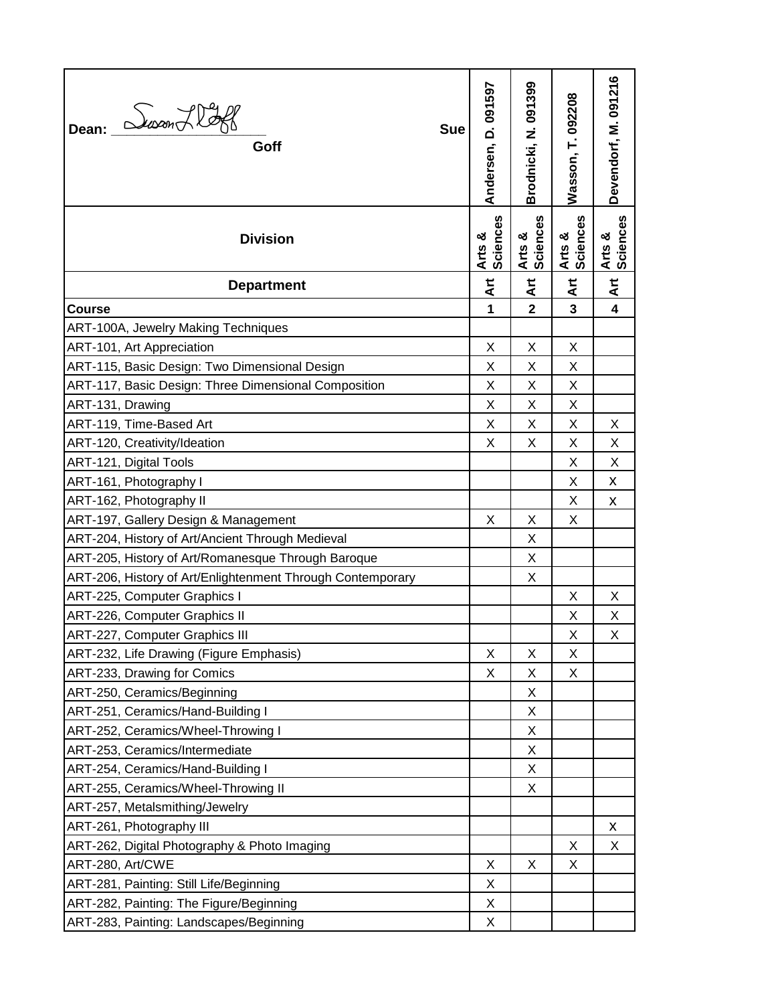| Dean: <i>Susan Hoff</i><br><b>Sue</b><br>Goff              | Andersen, D. 091597    | Brodnicki, N. 091399    | Wasson, T. 092208  | Devendorf, M. 091216    |
|------------------------------------------------------------|------------------------|-------------------------|--------------------|-------------------------|
| <b>Division</b>                                            | Sciences<br>න්<br>Arts | Arts &<br>Sciences      | Arts &<br>Sciences | Arts &<br>Sciences      |
| <b>Department</b>                                          | $\frac{1}{4}$          | $\mathbf{A}$ rt         | $\mathbf{H}$       | $\frac{\pi}{4}$         |
| <b>Course</b>                                              | 1                      | $\overline{\mathbf{2}}$ | $\overline{3}$     | $\overline{\mathbf{4}}$ |
| ART-100A, Jewelry Making Techniques                        |                        |                         |                    |                         |
| ART-101, Art Appreciation                                  | X                      | X                       | X                  |                         |
| ART-115, Basic Design: Two Dimensional Design              | Χ                      | Χ                       | X                  |                         |
| ART-117, Basic Design: Three Dimensional Composition       | X                      | Χ                       | X                  |                         |
| ART-131, Drawing                                           | Χ                      | Χ                       | X                  |                         |
| ART-119, Time-Based Art                                    | X                      | X                       | X                  | X                       |
| ART-120, Creativity/Ideation                               | X                      | X                       | X                  | X                       |
| ART-121, Digital Tools                                     |                        |                         | X                  | X                       |
| ART-161, Photography I                                     |                        |                         | X                  | X                       |
| ART-162, Photography II                                    |                        |                         | X                  | X                       |
| ART-197, Gallery Design & Management                       | Χ                      | Χ                       | X                  |                         |
| ART-204, History of Art/Ancient Through Medieval           |                        | X                       |                    |                         |
| ART-205, History of Art/Romanesque Through Baroque         |                        | Χ                       |                    |                         |
| ART-206, History of Art/Enlightenment Through Contemporary |                        | Χ                       |                    |                         |
| ART-225, Computer Graphics I                               |                        |                         | X                  | X                       |
| ART-226, Computer Graphics II                              |                        |                         | X                  | Χ                       |
| ART-227, Computer Graphics III                             |                        |                         | X                  | Χ                       |
| ART-232, Life Drawing (Figure Emphasis)                    | X                      | Χ                       | X                  |                         |
| ART-233, Drawing for Comics                                | Х                      | Χ                       | X                  |                         |
| ART-250, Ceramics/Beginning                                |                        | Χ                       |                    |                         |
| ART-251, Ceramics/Hand-Building I                          |                        | Χ                       |                    |                         |
| ART-252, Ceramics/Wheel-Throwing I                         |                        | Χ                       |                    |                         |
| ART-253, Ceramics/Intermediate                             |                        | Χ                       |                    |                         |
| ART-254, Ceramics/Hand-Building I                          |                        | Χ                       |                    |                         |
| ART-255, Ceramics/Wheel-Throwing II                        |                        | X                       |                    |                         |
| ART-257, Metalsmithing/Jewelry                             |                        |                         |                    |                         |
| ART-261, Photography III                                   |                        |                         |                    | X                       |
| ART-262, Digital Photography & Photo Imaging               |                        |                         | X                  | X                       |
| ART-280, Art/CWE                                           | Χ                      | X                       | X                  |                         |
| ART-281, Painting: Still Life/Beginning                    | Χ                      |                         |                    |                         |
| ART-282, Painting: The Figure/Beginning                    | Χ                      |                         |                    |                         |
| ART-283, Painting: Landscapes/Beginning                    | Χ                      |                         |                    |                         |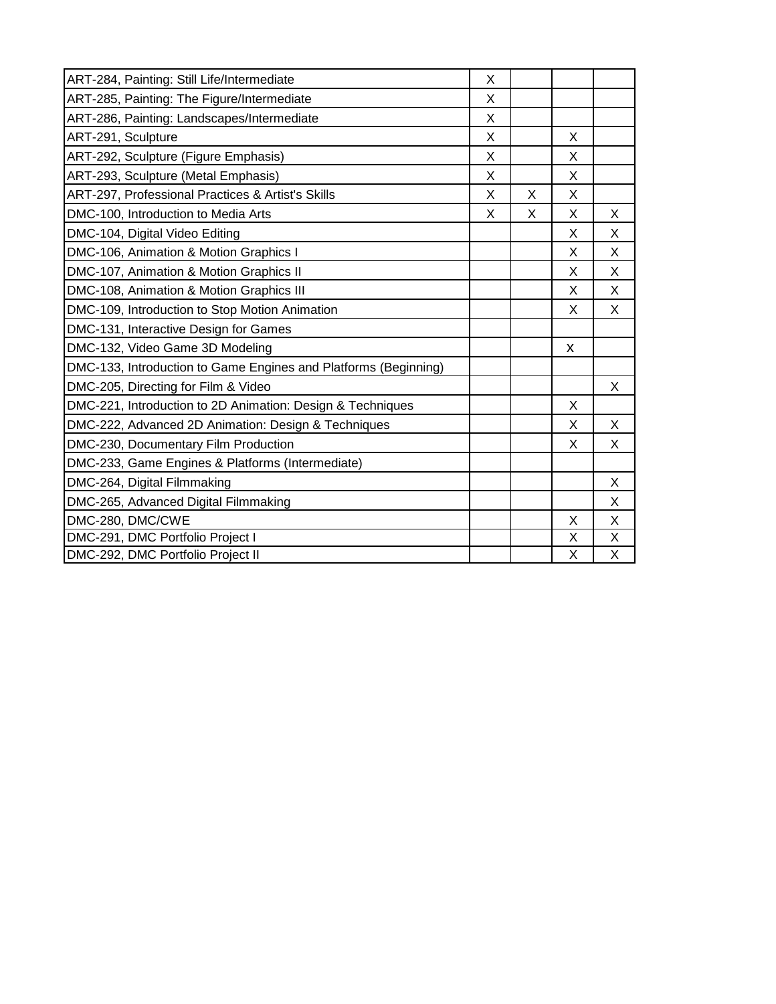| ART-284, Painting: Still Life/Intermediate                      | X |   |   |   |
|-----------------------------------------------------------------|---|---|---|---|
| ART-285, Painting: The Figure/Intermediate                      | X |   |   |   |
| ART-286, Painting: Landscapes/Intermediate                      | X |   |   |   |
| ART-291, Sculpture                                              | X |   | X |   |
| ART-292, Sculpture (Figure Emphasis)                            | X |   | X |   |
| ART-293, Sculpture (Metal Emphasis)                             | X |   | X |   |
| ART-297, Professional Practices & Artist's Skills               | X | X | Χ |   |
| DMC-100, Introduction to Media Arts                             | X | X | X | X |
| DMC-104, Digital Video Editing                                  |   |   | X | X |
| DMC-106, Animation & Motion Graphics I                          |   |   | X | X |
| DMC-107, Animation & Motion Graphics II                         |   |   | X | X |
| DMC-108, Animation & Motion Graphics III                        |   |   | X | X |
| DMC-109, Introduction to Stop Motion Animation                  |   |   | X | X |
| DMC-131, Interactive Design for Games                           |   |   |   |   |
| DMC-132, Video Game 3D Modeling                                 |   |   | X |   |
| DMC-133, Introduction to Game Engines and Platforms (Beginning) |   |   |   |   |
| DMC-205, Directing for Film & Video                             |   |   |   | X |
| DMC-221, Introduction to 2D Animation: Design & Techniques      |   |   | X |   |
| DMC-222, Advanced 2D Animation: Design & Techniques             |   |   | X | X |
| DMC-230, Documentary Film Production                            |   |   | X | X |
| DMC-233, Game Engines & Platforms (Intermediate)                |   |   |   |   |
| DMC-264, Digital Filmmaking                                     |   |   |   | X |
| DMC-265, Advanced Digital Filmmaking                            |   |   |   | X |
| DMC-280, DMC/CWE                                                |   |   | X | X |
| DMC-291, DMC Portfolio Project I                                |   |   | X | X |
| DMC-292, DMC Portfolio Project II                               |   |   | X | X |